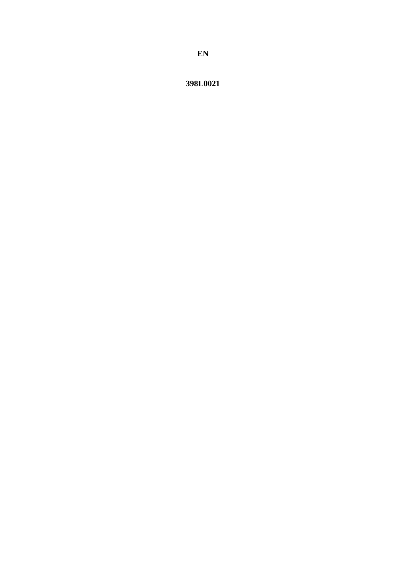398L0021

EN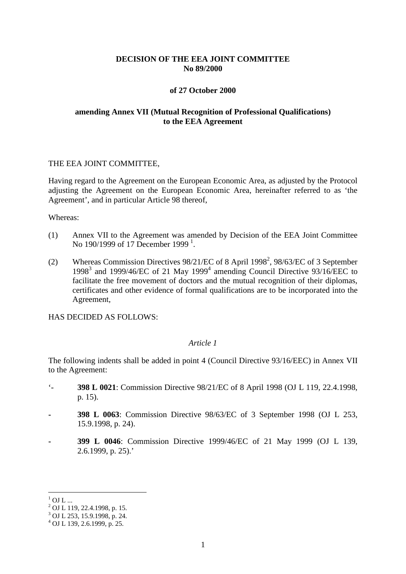### **DECISION OF THE EEA JOINT COMMITTEE No 89/2000**

### **of 27 October 2000**

### **amending Annex VII (Mutual Recognition of Professional Qualifications) to the EEA Agreement**

#### THE EEA JOINT COMMITTEE,

Having regard to the Agreement on the European Economic Area, as adjusted by the Protocol adjusting the Agreement on the European Economic Area, hereinafter referred to as 'the Agreement', and in particular Article 98 thereof,

Whereas:

- (1) Annex VII to the Agreement was amended by Decision of the EEA Joint Committee No [1](#page-1-0)90/1999 of 17 December 1999<sup>1</sup>.
- (2) Whereas Commission Directives 98/21/EC of 8 April 1998<sup>2</sup>, 98/63/EC of 3 September 1998<sup>3</sup> and 1999/46/EC of 21 May 1999<sup>4</sup> amending Council Directive 93/16/EEC to facilitate the free movement of doctors and the mutual recognition of their diplomas, certificates and other evidence of formal qualifications are to be incorporated into the Agreement,

HAS DECIDED AS FOLLOWS:

### *Article 1*

The following indents shall be added in point 4 (Council Directive 93/16/EEC) in Annex VII to the Agreement:

- '- **398 L 0021**: Commission Directive 98/21/EC of 8 April 1998 (OJ L 119, 22.4.1998, p. 15).
- **- 398 L 0063**: Commission Directive 98/63/EC of 3 September 1998 (OJ L 253, 15.9.1998, p. 24).
- **- 399 L 0046**: Commission Directive 1999/46/EC of 21 May 1999 (OJ L 139, 2.6.1999, p. 25).'

 $1$  OJ L ...

 $^{2}$  OJ L 119, 22.4.1998, p. 15.

<sup>3</sup> OJ L 253, 15.9.1998, p. 24.

<span id="page-1-0"></span> $^{4}$  OJ L 139, 2.6.1999, p. 25.